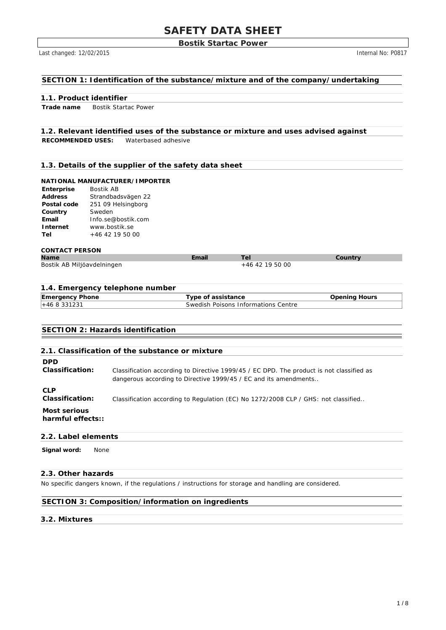## **Bostik Startac Power**

Last changed: 12/02/2015 **Internal No: P0817** 

## **SECTION 1: Identification of the substance/mixture and of the company/undertaking**

## **1.1. Product identifier**

**Trade name** Bostik Startac Power

# **1.2. Relevant identified uses of the substance or mixture and uses advised against**

**RECOMMENDED USES:** Waterbased adhesive

## **1.3. Details of the supplier of the safety data sheet**

## **NATIONAL MANUFACTURER/IMPORTER**

| Enterprise     | Bostik AB          |
|----------------|--------------------|
| <b>Address</b> | Strandbadsvägen 22 |
| Postal code    | 251 09 Helsingborg |
| Country        | Sweden             |
| Email          | Info.se@bostik.com |
| Internet       | www.bostik.se      |
| Tel            | $+46$ 42 19 50 00  |

#### **CONTACT PERSON**

| <b>Name</b>                | Email |                 | Countrv |
|----------------------------|-------|-----------------|---------|
| Bostik AB Miljöavdelningen |       | +46 42 19 50 00 |         |

#### **1.4. Emergency telephone number**

| <b>Emergency Phone</b> | Tvpe of assistance                  | Hours<br>Jpenina |
|------------------------|-------------------------------------|------------------|
| +46 8 331231           | Swedish Poisons Informations Centre |                  |

## **SECTION 2: Hazards identification**

|                                   | 2.1. Classification of the substance or mixture                                                                                                              |
|-----------------------------------|--------------------------------------------------------------------------------------------------------------------------------------------------------------|
| <b>DPD</b><br>Classification:     | Classification according to Directive 1999/45 / EC DPD. The product is not classified as<br>dangerous according to Directive 1999/45 / EC and its amendments |
| <b>CLP</b><br>Classification:     | Classification according to Regulation (EC) No 1272/2008 CLP / GHS: not classified                                                                           |
| Most serious<br>harmful effects:: |                                                                                                                                                              |

#### **2.2. Label elements**

**Signal word:** None

## **2.3. Other hazards**

No specific dangers known, if the regulations / instructions for storage and handling are considered.

## **SECTION 3: Composition/information on ingredients**

## **3.2. Mixtures**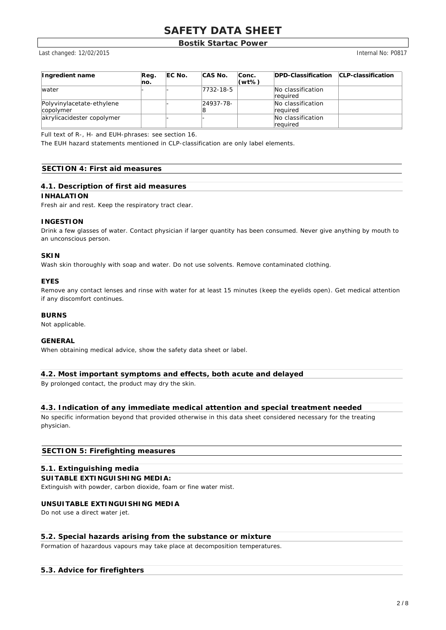## **Bostik Startac Power**

Last changed: 12/02/2015 Internal No: P0817

| Ingredient name                        | Reg.<br>lno. | <b>IEC No.</b> | CAS No.   | Conc.<br>$(wt\%)$ | <b>IDPD-Classification CLP-classification</b> |  |
|----------------------------------------|--------------|----------------|-----------|-------------------|-----------------------------------------------|--|
| <i>water</i>                           |              |                | 7732-18-5 |                   | No classification<br>Ireauired                |  |
| Polyvinylacetate-ethylene<br>copolymer |              |                | 24937-78- |                   | No classification<br>Ireauired                |  |
| akrylicacidester copolymer             |              |                |           |                   | No classification<br>Ireauired                |  |

Full text of R-, H- and EUH-phrases: see section 16.

The EUH hazard statements mentioned in CLP-classification are only label elements.

## **SECTION 4: First aid measures**

## **4.1. Description of first aid measures**

#### **INHALATION**

Fresh air and rest. Keep the respiratory tract clear.

#### **INGESTION**

Drink a few glasses of water. Contact physician if larger quantity has been consumed. Never give anything by mouth to an unconscious person.

#### **SKIN**

Wash skin thoroughly with soap and water. Do not use solvents. Remove contaminated clothing.

## **EYES**

Remove any contact lenses and rinse with water for at least 15 minutes (keep the eyelids open). Get medical attention if any discomfort continues.

## **BURNS**

Not applicable.

## **GENERAL**

When obtaining medical advice, show the safety data sheet or label.

## **4.2. Most important symptoms and effects, both acute and delayed**

By prolonged contact, the product may dry the skin.

## **4.3. Indication of any immediate medical attention and special treatment needed**

No specific information beyond that provided otherwise in this data sheet considered necessary for the treating physician.

## **SECTION 5: Firefighting measures**

## **5.1. Extinguishing media**

#### **SUITABLE EXTINGUISHING MEDIA:**

Extinguish with powder, carbon dioxide, foam or fine water mist.

#### **UNSUITABLE EXTINGUISHING MEDIA**

Do not use a direct water jet.

#### **5.2. Special hazards arising from the substance or mixture**

Formation of hazardous vapours may take place at decomposition temperatures.

## **5.3. Advice for firefighters**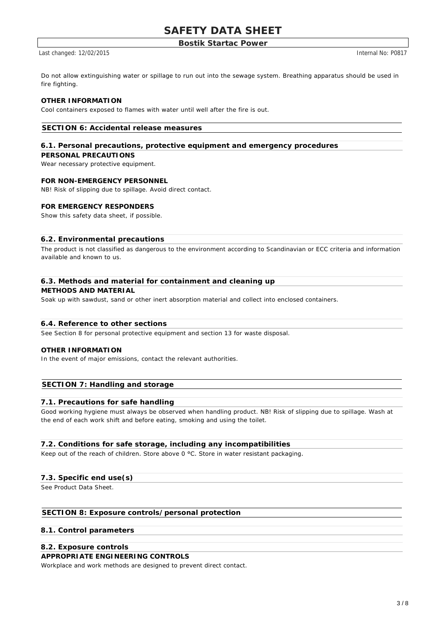## **Bostik Startac Power**

Last changed: 12/02/2015 Internal No: P0817

Do not allow extinguishing water or spillage to run out into the sewage system. Breathing apparatus should be used in fire fighting.

## **OTHER INFORMATION**

Cool containers exposed to flames with water until well after the fire is out.

## **SECTION 6: Accidental release measures**

## **6.1. Personal precautions, protective equipment and emergency procedures**

#### **PERSONAL PRECAUTIONS**

Wear necessary protective equipment.

#### **FOR NON-EMERGENCY PERSONNEL**

NB! Risk of slipping due to spillage. Avoid direct contact.

#### **FOR EMERGENCY RESPONDERS**

Show this safety data sheet, if possible.

#### **6.2. Environmental precautions**

The product is not classified as dangerous to the environment according to Scandinavian or ECC criteria and information available and known to us.

#### **6.3. Methods and material for containment and cleaning up**

#### **METHODS AND MATERIAL**

Soak up with sawdust, sand or other inert absorption material and collect into enclosed containers.

#### **6.4. Reference to other sections**

See Section 8 for personal protective equipment and section 13 for waste disposal.

#### **OTHER INFORMATION**

In the event of major emissions, contact the relevant authorities.

## **SECTION 7: Handling and storage**

#### **7.1. Precautions for safe handling**

Good working hygiene must always be observed when handling product. NB! Risk of slipping due to spillage. Wash at the end of each work shift and before eating, smoking and using the toilet.

## **7.2. Conditions for safe storage, including any incompatibilities**

Keep out of the reach of children. Store above 0 °C. Store in water resistant packaging.

## **7.3. Specific end use(s)**

See Product Data Sheet.

## **SECTION 8: Exposure controls/personal protection**

## **8.1. Control parameters**

#### **8.2. Exposure controls**

#### **APPROPRIATE ENGINEERING CONTROLS**

Workplace and work methods are designed to prevent direct contact.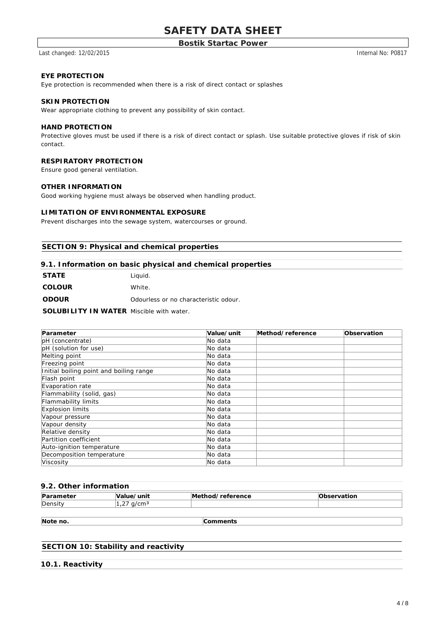## **Bostik Startac Power**

Last changed: 12/02/2015 12/02/2015

#### **EYE PROTECTION**

Eye protection is recommended when there is a risk of direct contact or splashes

#### **SKIN PROTECTION**

Wear appropriate clothing to prevent any possibility of skin contact.

#### **HAND PROTECTION**

Protective gloves must be used if there is a risk of direct contact or splash. Use suitable protective gloves if risk of skin contact.

## **RESPIRATORY PROTECTION**

Ensure good general ventilation.

#### **OTHER INFORMATION**

Good working hygiene must always be observed when handling product.

## **LIMITATION OF ENVIRONMENTAL EXPOSURE**

Prevent discharges into the sewage system, watercourses or ground.

## **SECTION 9: Physical and chemical properties**

#### **9.1. Information on basic physical and chemical properties**

| <b>STATE</b>  | Liguid.                               |
|---------------|---------------------------------------|
| <b>COLOUR</b> | White                                 |
| <b>ODOUR</b>  | Odourless or no characteristic odour. |

**SOLUBILITY IN WATER** Miscible with water.

| Parameter                               | Value/unit | Method/reference | Observation |
|-----------------------------------------|------------|------------------|-------------|
| pH (concentrate)                        | No data    |                  |             |
| pH (solution for use)                   | No data    |                  |             |
| Melting point                           | No data    |                  |             |
| Freezing point                          | No data    |                  |             |
| Initial boiling point and boiling range | No data    |                  |             |
| Flash point                             | No data    |                  |             |
| Evaporation rate                        | No data    |                  |             |
| Flammability (solid, gas)               | No data    |                  |             |
| Flammability limits                     | No data    |                  |             |
| Explosion limits                        | No data    |                  |             |
| Vapour pressure                         | No data    |                  |             |
| Vapour density                          | No data    |                  |             |
| Relative density                        | No data    |                  |             |
| Partition coefficient                   | No data    |                  |             |
| Auto-ignition temperature               | lNo data   |                  |             |
| Decomposition temperature               | lNo data   |                  |             |
| Viscosity                               | No data    |                  |             |

#### **9.2. Other information**

| Par <sub>s</sub><br>۱tar<br>-<br>ושנטו | ′unit                          | Mc<br>. .<br>reference<br>חחו | vatior |
|----------------------------------------|--------------------------------|-------------------------------|--------|
| <b>IDensit</b><br>x                    | $\sim$ $-$<br>$\sim$<br>.<br>- |                               |        |

**Note no. Comments**

## **SECTION 10: Stability and reactivity**

**10.1. Reactivity**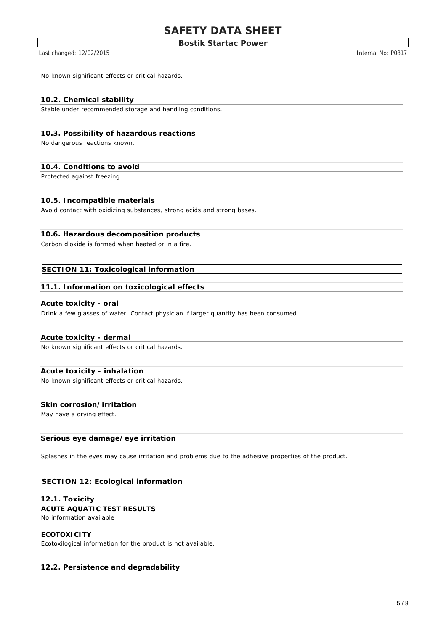## **Bostik Startac Power**

Last changed: 12/02/2015 12/02/2015

No known significant effects or critical hazards.

## **10.2. Chemical stability**

Stable under recommended storage and handling conditions.

## **10.3. Possibility of hazardous reactions**

No dangerous reactions known.

#### **10.4. Conditions to avoid**

Protected against freezing.

#### **10.5. Incompatible materials**

Avoid contact with oxidizing substances, strong acids and strong bases.

## **10.6. Hazardous decomposition products**

Carbon dioxide is formed when heated or in a fire.

## **SECTION 11: Toxicological information**

#### **11.1. Information on toxicological effects**

#### **Acute toxicity - oral**

Drink a few glasses of water. Contact physician if larger quantity has been consumed.

#### **Acute toxicity - dermal**

No known significant effects or critical hazards.

#### **Acute toxicity - inhalation**

No known significant effects or critical hazards.

## **Skin corrosion/irritation**

May have a drying effect.

#### **Serious eye damage/eye irritation**

Splashes in the eyes may cause irritation and problems due to the adhesive properties of the product.

#### **SECTION 12: Ecological information**

#### **12.1. Toxicity**

## **ACUTE AQUATIC TEST RESULTS**

No information available

#### **ECOTOXICITY**

Ecotoxilogical information for the product is not available.

#### **12.2. Persistence and degradability**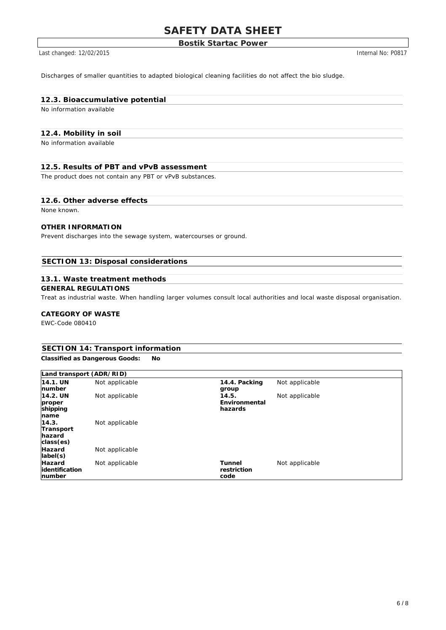## **Bostik Startac Power**

Last changed: 12/02/2015 **Internal No: P0817** 

Discharges of smaller quantities to adapted biological cleaning facilities do not affect the bio sludge.

## **12.3. Bioaccumulative potential**

No information available

## **12.4. Mobility in soil**

No information available

## **12.5. Results of PBT and vPvB assessment**

The product does not contain any PBT or vPvB substances.

## **12.6. Other adverse effects**

None known.

## **OTHER INFORMATION**

Prevent discharges into the sewage system, watercourses or ground.

# **SECTION 13: Disposal considerations**

#### **13.1. Waste treatment methods**

# **GENERAL REGULATIONS**

Treat as industrial waste. When handling larger volumes consult local authorities and local waste disposal organisation.

## **CATEGORY OF WASTE**

EWC-Code 080410

# **SECTION 14: Transport information**

**Classified as Dangerous Goods: No**

| Land transport (ADR/RID)                   |                |                                   |                |  |
|--------------------------------------------|----------------|-----------------------------------|----------------|--|
| 14.1. UN<br>number                         | Not applicable | 14.4. Packing<br>group            | Not applicable |  |
| 14.2. UN<br>proper<br>shipping<br>name     | Not applicable | 14.5.<br>Environmental<br>hazards | Not applicable |  |
| 14.3.<br>Transport<br>hazard<br>class(es)  | Not applicable |                                   |                |  |
| Hazard<br>label(s)                         | Not applicable |                                   |                |  |
| <b>Hazard</b><br>lidentification<br>number | Not applicable | Tunnel<br>restriction<br>code     | Not applicable |  |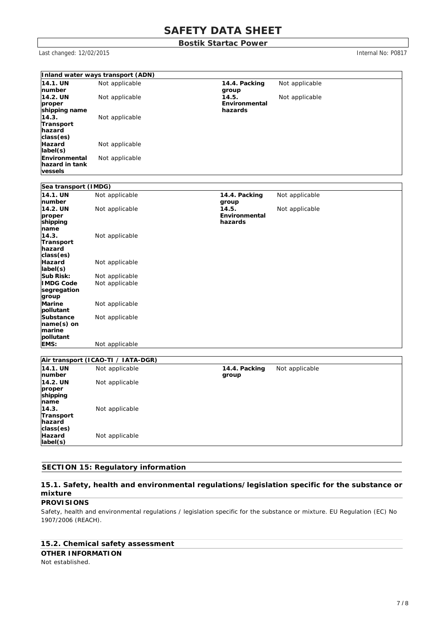**Bostik Startac Power**

Last changed: 12/02/2015 **Internal No: P0817** 

|                      | Inland water ways transport (ADN)  |               |                |
|----------------------|------------------------------------|---------------|----------------|
| 14.1. UN             | Not applicable                     | 14.4. Packing | Not applicable |
| number               |                                    | group         |                |
| 14.2. UN             | Not applicable                     | 14.5.         | Not applicable |
| proper               |                                    | Environmental |                |
| shipping name        |                                    | hazards       |                |
| 14.3.                | Not applicable                     |               |                |
| Transport            |                                    |               |                |
| hazard               |                                    |               |                |
| class(es)            |                                    |               |                |
| <b>Hazard</b>        | Not applicable                     |               |                |
| label(s)             |                                    |               |                |
| Environmental        | Not applicable                     |               |                |
| hazard in tank       |                                    |               |                |
| vessels              |                                    |               |                |
|                      |                                    |               |                |
| Sea transport (IMDG) |                                    |               |                |
| 14.1. UN             | Not applicable                     | 14.4. Packing | Not applicable |
| number               |                                    | group         |                |
| 14.2. UN             | Not applicable                     | 14.5.         | Not applicable |
| proper               |                                    | Environmental |                |
| shipping             |                                    | hazards       |                |
| name                 |                                    |               |                |
| 14.3.                | Not applicable                     |               |                |
| Transport            |                                    |               |                |
| hazard               |                                    |               |                |
| class(es)            |                                    |               |                |
| Hazard               | Not applicable                     |               |                |
| label(s)             |                                    |               |                |
| Sub Risk:            | Not applicable                     |               |                |
| <b>IMDG Code</b>     | Not applicable                     |               |                |
| segregation          |                                    |               |                |
| group                |                                    |               |                |
| Marine               | Not applicable                     |               |                |
| pollutant            |                                    |               |                |
| Substance            | Not applicable                     |               |                |
| name(s) on<br>marine |                                    |               |                |
| pollutant            |                                    |               |                |
|                      |                                    |               |                |
| EMS:                 | Not applicable                     |               |                |
|                      |                                    |               |                |
| 14.1. UN             | Air transport (ICAO-TI / IATA-DGR) |               |                |
| number               | Not applicable                     | 14.4. Packing | Not applicable |
|                      |                                    | group         |                |
| 14.2. UN             | Not applicable                     |               |                |
| proper<br>shipping   |                                    |               |                |
| name                 |                                    |               |                |
| 14.3.                | Not applicable                     |               |                |
|                      |                                    |               |                |

**Transport hazard class(es)** ot app **Hazard label(s)** Not applicable

# **SECTION 15: Regulatory information**

## **15.1. Safety, health and environmental regulations/legislation specific for the substance or mixture**

## **PROVISIONS**

Safety, health and environmental regulations / legislation specific for the substance or mixture. EU Regulation (EC) No 1907/2006 (REACH).

## **15.2. Chemical safety assessment**

## **OTHER INFORMATION**

Not established.